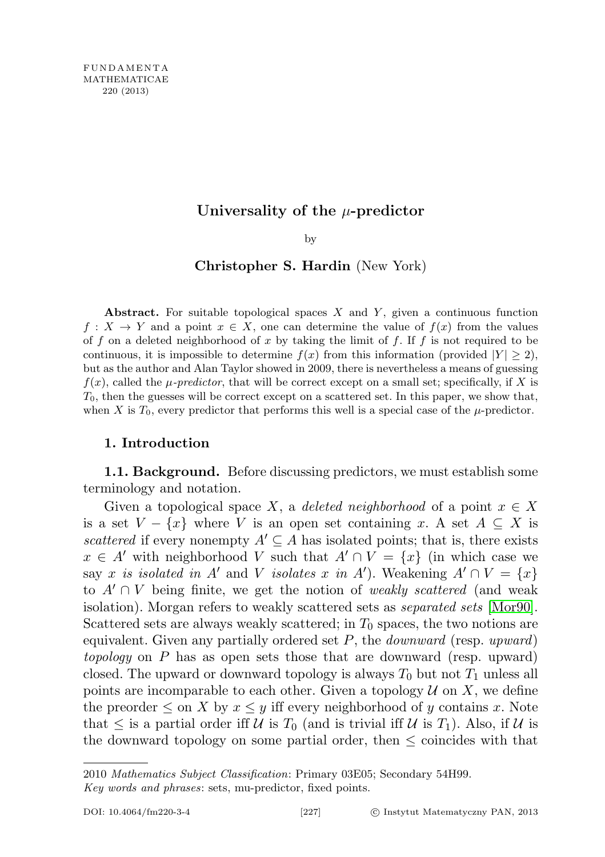# Universality of the  $\mu$ -predictor

by

## Christopher S. Hardin (New York)

Abstract. For suitable topological spaces  $X$  and  $Y$ , given a continuous function  $f: X \to Y$  and a point  $x \in X$ , one can determine the value of  $f(x)$  from the values of f on a deleted neighborhood of x by taking the limit of f. If f is not required to be continuous, it is impossible to determine  $f(x)$  from this information (provided  $|Y| \geq 2$ ), but as the author and Alan Taylor showed in 2009, there is nevertheless a means of guessing  $f(x)$ , called the  $\mu$ -predictor, that will be correct except on a small set; specifically, if X is  $T_0$ , then the guesses will be correct except on a scattered set. In this paper, we show that, when X is  $T_0$ , every predictor that performs this well is a special case of the  $\mu$ -predictor.

## 1. Introduction

<span id="page-0-0"></span>**1.1. Background.** Before discussing predictors, we must establish some terminology and notation.

Given a topological space X, a deleted neighborhood of a point  $x \in X$ is a set  $V - \{x\}$  where V is an open set containing x. A set  $A \subseteq X$  is scattered if every nonempty  $A' \subseteq A$  has isolated points; that is, there exists  $x \in A'$  with neighborhood V such that  $A' \cap V = \{x\}$  (in which case we say x is isolated in A' and V isolates x in A'). Weakening  $A' \cap V = \{x\}$ to  $A' \cap V$  being finite, we get the notion of *weakly scattered* (and weak isolation). Morgan refers to weakly scattered sets as separated sets [\[Mor90\]](#page-14-0). Scattered sets are always weakly scattered; in  $T_0$  spaces, the two notions are equivalent. Given any partially ordered set  $P$ , the *downward* (resp. upward) topology on P has as open sets those that are downward (resp. upward) closed. The upward or downward topology is always  $T_0$  but not  $T_1$  unless all points are incomparable to each other. Given a topology  $\mathcal U$  on X, we define the preorder  $\leq$  on X by  $x \leq y$  iff every neighborhood of y contains x. Note that  $\leq$  is a partial order iff U is  $T_0$  (and is trivial iff U is  $T_1$ ). Also, if U is the downward topology on some partial order, then  $\leq$  coincides with that

Key words and phrases: sets, mu-predictor, fixed points.

<sup>2010</sup> Mathematics Subject Classification: Primary 03E05; Secondary 54H99.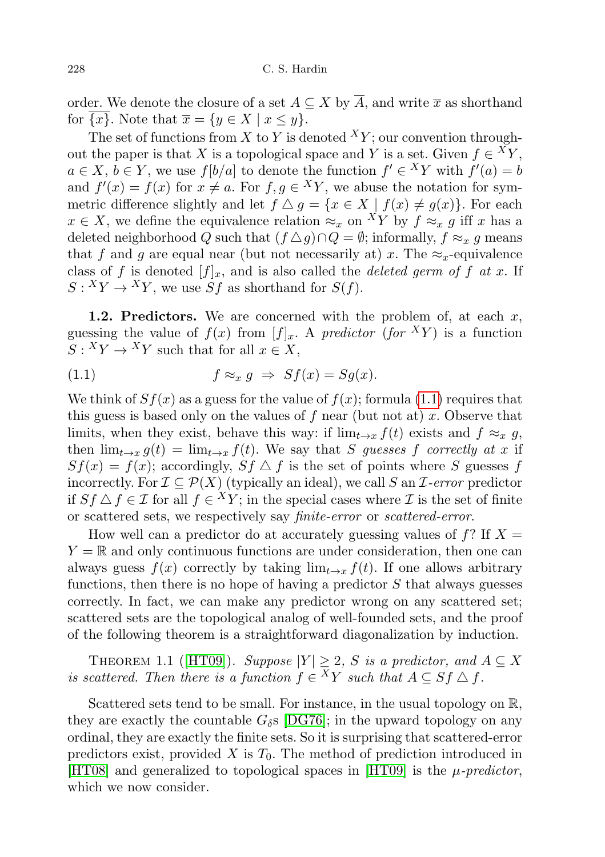order. We denote the closure of a set  $A \subseteq X$  by  $\overline{A}$ , and write  $\overline{x}$  as shorthand for  $\overline{\{x\}}$ . Note that  $\overline{x} = \{y \in X \mid x \leq y\}.$ 

The set of functions from X to Y is denoted  $^{X}Y$ ; our convention throughout the paper is that X is a topological space and Y is a set. Given  $f \in {}^X Y$ ,  $a \in X, b \in Y$ , we use  $f[b/a]$  to denote the function  $f' \in {}^X Y$  with  $f'(a) = b$ and  $f'(x) = f(x)$  for  $x \neq a$ . For  $f, g \in {}^XY$ , we abuse the notation for symmetric difference slightly and let  $f \Delta g = \{x \in X \mid f(x) \neq g(x)\}\.$  For each  $x \in X$ , we define the equivalence relation  $\approx_x$  on  $^X Y$  by  $f \approx_x g$  iff x has a deleted neighborhood Q such that  $(f \triangle g) \cap Q = \emptyset$ ; informally,  $f \approx_x g$  means that f and g are equal near (but not necessarily at) x. The  $\approx_x$ -equivalence class of f is denoted  $[f]_x$ , and is also called the *deleted germ of f at x*. If  $S: {}^X Y \to {}^X Y$ , we use  $Sf$  as shorthand for  $S(f)$ .

1.2. Predictors. We are concerned with the problem of, at each  $x$ , guessing the value of  $f(x)$  from  $[f]_x$ . A predictor (for XY) is a function  $S: {^X}Y \to {^X}Y$  such that for all  $x \in X$ ,

<span id="page-1-0"></span>(1.1) 
$$
f \approx_x g \Rightarrow Sf(x) = Sg(x).
$$

We think of  $Sf(x)$  as a guess for the value of  $f(x)$ ; formula [\(1.1\)](#page-1-0) requires that this guess is based only on the values of  $f$  near (but not at)  $x$ . Observe that limits, when they exist, behave this way: if  $\lim_{t\to x} f(t)$  exists and  $f \approx_x g$ , then  $\lim_{t\to x} g(t) = \lim_{t\to x} f(t)$ . We say that S guesses f correctly at x if  $Sf(x) = f(x)$ ; accordingly,  $Sf \triangle f$  is the set of points where S guesses f incorrectly. For  $\mathcal{I} \subseteq \mathcal{P}(X)$  (typically an ideal), we call S an *I*-error predictor if  $Sf \triangle f \in \mathcal{I}$  for all  $f \in {}^XY$ ; in the special cases where  $\mathcal{I}$  is the set of finite or scattered sets, we respectively say finite-error or scattered-error.

How well can a predictor do at accurately guessing values of  $f$ ? If  $X =$  $Y = \mathbb{R}$  and only continuous functions are under consideration, then one can always guess  $f(x)$  correctly by taking  $\lim_{t\to x} f(t)$ . If one allows arbitrary functions, then there is no hope of having a predictor  $S$  that always guesses correctly. In fact, we can make any predictor wrong on any scattered set; scattered sets are the topological analog of well-founded sets, and the proof of the following theorem is a straightforward diagonalization by induction.

THEOREM 1.1 ([\[HT09\]](#page-13-0)). Suppose  $|Y| \geq 2$ , S is a predictor, and  $A \subseteq X$ is scattered. Then there is a function  $f \in {}^X Y$  such that  $A \subseteq S f \bigtriangleup f$ .

Scattered sets tend to be small. For instance, in the usual topology on R, they are exactly the countable  $G_{\delta S}$  [\[DG76\]](#page-13-1); in the upward topology on any ordinal, they are exactly the finite sets. So it is surprising that scattered-error predictors exist, provided X is  $T_0$ . The method of prediction introduced in [\[HT08\]](#page-13-2) and generalized to topological spaces in [\[HT09\]](#page-13-0) is the  $\mu$ -predictor, which we now consider.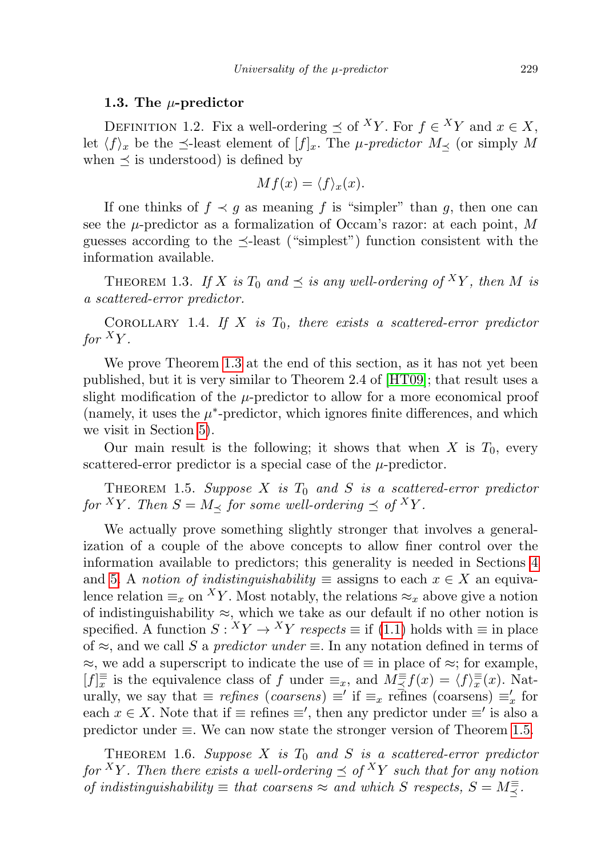### 1.3. The  $\mu$ -predictor

DEFINITION 1.2. Fix a well-ordering  $\preceq$  of <sup>X</sup>Y. For  $f \in {}^X Y$  and  $x \in X$ , let  $\langle f \rangle_x$  be the  $\preceq$ -least element of  $[f]_x$ . The *µ-predictor*  $M$ <sub> $\prec$ </sub> (or simply M when  $\preceq$  is understood) is defined by

$$
Mf(x) = \langle f \rangle_x(x).
$$

If one thinks of  $f \prec g$  as meaning f is "simpler" than g, then one can see the  $\mu$ -predictor as a formalization of Occam's razor: at each point, M guesses according to the  $\preceq$ -least ("simplest") function consistent with the information available.

<span id="page-2-0"></span>THEOREM 1.3. If X is  $T_0$  and  $\preceq$  is any well-ordering of  $^XY$ , then M is a scattered-error predictor.

<span id="page-2-2"></span>COROLLARY 1.4. If X is  $T_0$ , there exists a scattered-error predictor for  ${}^XY$ .

We prove Theorem [1.3](#page-2-0) at the end of this section, as it has not yet been published, but it is very similar to Theorem 2.4 of [\[HT09\]](#page-13-0); that result uses a slight modification of the  $\mu$ -predictor to allow for a more economical proof (namely, it uses the  $\mu^*$ -predictor, which ignores finite differences, and which we visit in Section [5\)](#page-10-0).

Our main result is the following; it shows that when  $X$  is  $T_0$ , every scattered-error predictor is a special case of the  $\mu$ -predictor.

<span id="page-2-1"></span>THEOREM 1.5. Suppose X is  $T_0$  and S is a scattered-error predictor for <sup>X</sup>Y. Then  $S = M_{\prec}$  for some well-ordering  $\preceq$  of <sup>X</sup>Y.

We actually prove something slightly stronger that involves a generalization of a couple of the above concepts to allow finer control over the information available to predictors; this generality is needed in Sections [4](#page-8-0) and [5.](#page-10-0) A notion of indistinguishability  $\equiv$  assigns to each  $x \in X$  an equivalence relation  $\equiv_x$  on <sup>X</sup>Y. Most notably, the relations  $\approx_x$  above give a notion of indistinguishability  $\approx$ , which we take as our default if no other notion is specified. A function  $S: {^X}Y \to {^X}Y$  respects  $\equiv$  if [\(1.1\)](#page-1-0) holds with  $\equiv$  in place of  $\approx$ , and we call S a predictor under  $\equiv$ . In any notation defined in terms of  $\approx$ , we add a superscript to indicate the use of  $\equiv$  in place of  $\approx$ ; for example,  $[f]_x^{\equiv}$  is the equivalence class of f under  $\equiv_x$ , and  $M \leq f(x) = \langle f \rangle_x^{\equiv}(x)$ . Naturally, we say that  $\equiv$  *refines* (*coarsens*)  $\equiv'$  if  $\equiv_x$  refines (*coarsens*)  $\equiv'_{x}$  for each  $x \in X$ . Note that if  $\equiv$  refines  $\equiv'$ , then any predictor under  $\equiv'$  is also a predictor under ≡. We can now state the stronger version of Theorem [1.5.](#page-2-1)

<span id="page-2-3"></span>THEOREM 1.6. Suppose X is  $T_0$  and S is a scattered-error predictor for <sup>X</sup>Y. Then there exists a well-ordering  $\preceq$  of <sup>X</sup>Y such that for any notion of indistinguishability  $\equiv$  that coarsens  $\approx$  and which S respects,  $S = M \frac{1}{\leq}$ .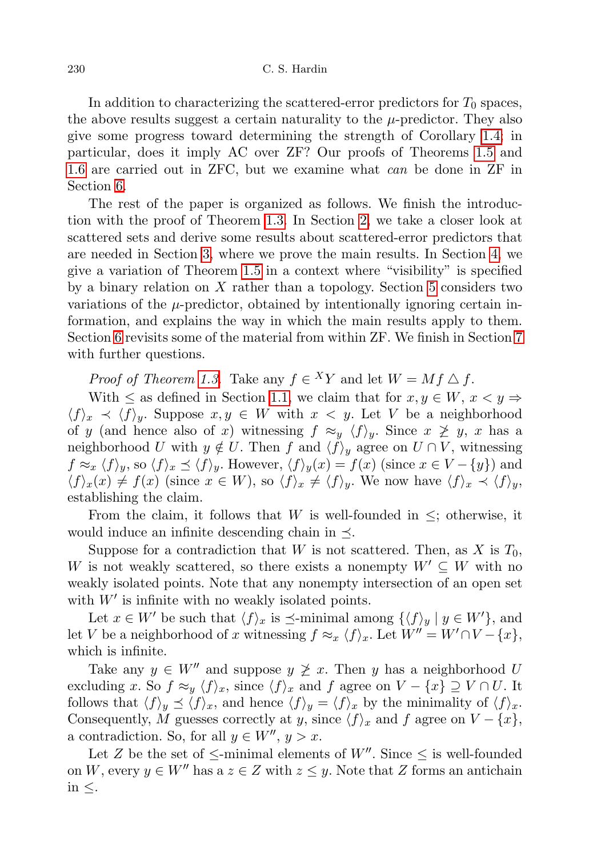In addition to characterizing the scattered-error predictors for  $T_0$  spaces, the above results suggest a certain naturality to the  $\mu$ -predictor. They also give some progress toward determining the strength of Corollary [1.4;](#page-2-2) in particular, does it imply AC over ZF? Our proofs of Theorems [1.5](#page-2-1) and [1.6](#page-2-3) are carried out in ZFC, but we examine what *can* be done in ZF in Section [6.](#page-11-0)

The rest of the paper is organized as follows. We finish the introduction with the proof of Theorem [1.3.](#page-2-0) In Section [2,](#page-4-0) we take a closer look at scattered sets and derive some results about scattered-error predictors that are needed in Section [3,](#page-7-0) where we prove the main results. In Section [4,](#page-8-0) we give a variation of Theorem [1.5](#page-2-1) in a context where "visibility" is specified by a binary relation on  $X$  rather than a topology. Section [5](#page-10-0) considers two variations of the  $\mu$ -predictor, obtained by intentionally ignoring certain information, and explains the way in which the main results apply to them. Section [6](#page-11-0) revisits some of the material from within ZF. We finish in Section [7](#page-12-0) with further questions.

*Proof of Theorem [1.3.](#page-2-0)* Take any  $f \in {}^X Y$  and let  $W = Mf \triangle f$ .

With  $\leq$  as defined in Section [1.1,](#page-0-0) we claim that for  $x, y \in W$ ,  $x \leq y \Rightarrow$  $\langle f \rangle_x \prec \langle f \rangle_y$ . Suppose  $x, y \in W$  with  $x < y$ . Let V be a neighborhood of y (and hence also of x) witnessing  $f \approx_y \langle f \rangle_y$ . Since  $x \not\geq y$ , x has a neighborhood U with  $y \notin U$ . Then f and  $\langle f \rangle_y$  agree on  $U \cap V$ , witnessing  $f \approx_x \langle f \rangle_y$ , so  $\langle f \rangle_x \preceq \langle f \rangle_y$ . However,  $\langle f \rangle_y(x) = f(x)$  (since  $x \in V - \{y\}$ ) and  $\langle f \rangle_x(x) \neq f(x)$  (since  $x \in W$ ), so  $\langle f \rangle_x \neq \langle f \rangle_y$ . We now have  $\langle f \rangle_x \prec \langle f \rangle_y$ , establishing the claim.

From the claim, it follows that W is well-founded in  $\leq$ ; otherwise, it would induce an infinite descending chain in  $\preceq$ .

Suppose for a contradiction that W is not scattered. Then, as X is  $T_0$ , W is not weakly scattered, so there exists a nonempty  $W' \subseteq W$  with no weakly isolated points. Note that any nonempty intersection of an open set with  $W'$  is infinite with no weakly isolated points.

Let  $x \in W'$  be such that  $\langle f \rangle_x$  is  $\preceq$ -minimal among  $\{\langle f \rangle_y | y \in W'\}$ , and let V be a neighborhood of x witnessing  $f \approx_x \langle f \rangle_x$ . Let  $W'' = W' \cap V - \{x\}$ , which is infinite.

Take any  $y \in W''$  and suppose  $y \not\geq x$ . Then y has a neighborhood U excluding x. So  $f \approx_y \langle f \rangle_x$ , since  $\langle f \rangle_x$  and f agree on  $V - \{x\} \supseteq V \cap U$ . It follows that  $\langle f \rangle_y \preceq \langle f \rangle_x$ , and hence  $\langle f \rangle_y = \langle f \rangle_x$  by the minimality of  $\langle f \rangle_x$ . Consequently, M guesses correctly at y, since  $\langle f \rangle_x$  and f agree on  $V - \{x\}$ , a contradiction. So, for all  $y \in W''$ ,  $y > x$ .

Let Z be the set of  $\leq$ -minimal elements of W''. Since  $\leq$  is well-founded on W, every  $y \in W''$  has a  $z \in Z$  with  $z \leq y$ . Note that Z forms an antichain in  $\leq$ .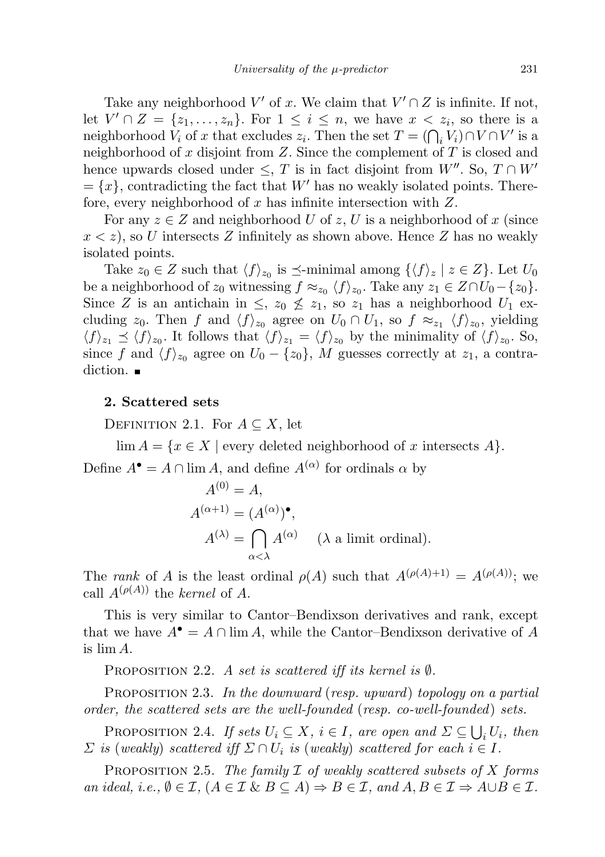Take any neighborhood  $V'$  of x. We claim that  $V' \cap Z$  is infinite. If not, let  $V' \cap Z = \{z_1, \ldots, z_n\}$ . For  $1 \leq i \leq n$ , we have  $x < z_i$ , so there is a neighborhood  $V_i$  of x that excludes  $z_i$ . Then the set  $T = (\bigcap_i V_i) \cap V \cap V'$  is a neighborhood of  $x$  disjoint from  $Z$ . Since the complement of  $T$  is closed and hence upwards closed under  $\leq$ , T is in fact disjoint from W''. So,  $T \cap W'$  $=\{x\}$ , contradicting the fact that W' has no weakly isolated points. Therefore, every neighborhood of  $x$  has infinite intersection with  $Z$ .

For any  $z \in Z$  and neighborhood U of z, U is a neighborhood of x (since  $x < z$ ), so U intersects Z infinitely as shown above. Hence Z has no weakly isolated points.

Take  $z_0 \in Z$  such that  $\langle f \rangle_{z_0}$  is  $\preceq$ -minimal among  $\{\langle f \rangle_z | z \in Z\}$ . Let  $U_0$ be a neighborhood of  $z_0$  witnessing  $f \approx_{z_0} \langle f \rangle_{z_0}$ . Take any  $z_1 \in Z \cap U_0 - \{z_0\}$ . Since Z is an antichain in  $\leq$ ,  $z_0 \nleq z_1$ , so  $z_1$  has a neighborhood  $U_1$  excluding  $z_0$ . Then f and  $\langle f \rangle_{z_0}$  agree on  $U_0 \cap U_1$ , so  $f \approx_{z_1} \langle f \rangle_{z_0}$ , yielding  $\langle f \rangle_{z_1} \preceq \langle f \rangle_{z_0}$ . It follows that  $\langle f \rangle_{z_1} = \langle f \rangle_{z_0}$  by the minimality of  $\langle f \rangle_{z_0}$ . So, since f and  $\langle f \rangle_{z_0}$  agree on  $U_0 - \{z_0\}$ , M guesses correctly at  $z_1$ , a contradiction.  $\blacksquare$ 

### <span id="page-4-0"></span>2. Scattered sets

DEFINITION 2.1. For  $A \subseteq X$ , let

 $\lim A = \{x \in X \mid \text{every deleted neighborhood of } x \text{ intersects } A\}.$ Define  $A^{\bullet} = A \cap \lim A$ , and define  $A^{(\alpha)}$  for ordinals  $\alpha$  by

$$
A^{(0)} = A,
$$
  
\n
$$
A^{(\alpha+1)} = (A^{(\alpha)})^{\bullet},
$$
  
\n
$$
A^{(\lambda)} = \bigcap_{\alpha < \lambda} A^{(\alpha)} \quad (\lambda \text{ a limit ordinal}).
$$

The rank of A is the least ordinal  $\rho(A)$  such that  $A^{(\rho(A)+1)} = A^{(\rho(A))}$ ; we call  $A^{(\rho(A))}$  the kernel of A.

This is very similar to Cantor–Bendixson derivatives and rank, except that we have  $A^{\bullet} = A \cap \lim A$ , while the Cantor–Bendixson derivative of A is lim A.

PROPOSITION 2.2. A set is scattered iff its kernel is  $\emptyset$ .

PROPOSITION 2.3. In the downward (resp. upward) topology on a partial order, the scattered sets are the well-founded (resp. co-well-founded) sets.

<span id="page-4-2"></span>PROPOSITION 2.4. If sets  $U_i \subseteq X$ ,  $i \in I$ , are open and  $\Sigma \subseteq \bigcup_i U_i$ , then  $\Sigma$  is (weakly) scattered iff  $\Sigma \cap U_i$  is (weakly) scattered for each  $i \in I$ .

<span id="page-4-1"></span>PROPOSITION 2.5. The family  $\mathcal I$  of weakly scattered subsets of  $X$  forms an ideal, i.e.,  $\emptyset \in \mathcal{I}$ ,  $(A \in \mathcal{I} \& B \subseteq A) \Rightarrow B \in \mathcal{I}$ , and  $A, B \in \mathcal{I} \Rightarrow A \cup B \in \mathcal{I}$ .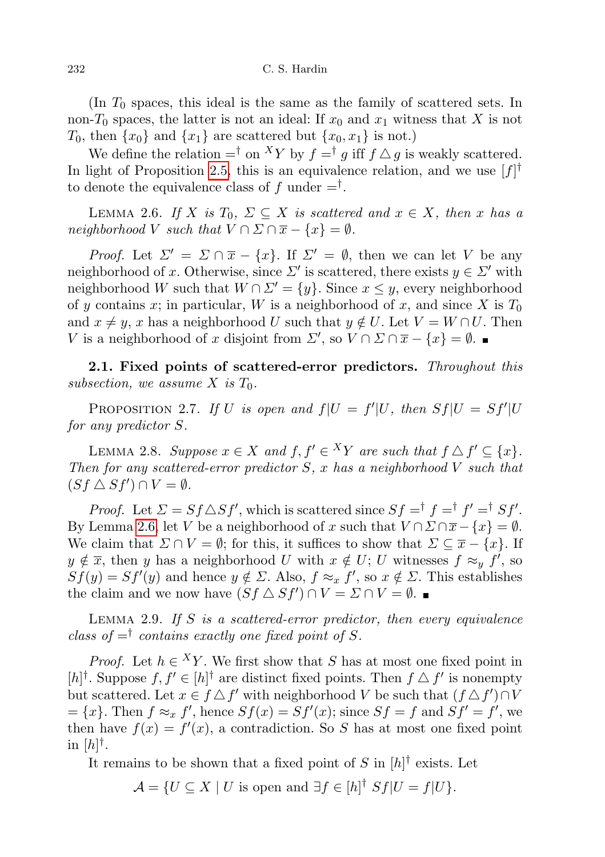232 C. S. Hardin

(In  $T_0$  spaces, this ideal is the same as the family of scattered sets. In non-T<sub>0</sub> spaces, the latter is not an ideal: If  $x_0$  and  $x_1$  witness that X is not  $T_0$ , then  $\{x_0\}$  and  $\{x_1\}$  are scattered but  $\{x_0, x_1\}$  is not.)

We define the relation  $=$ <sup>†</sup> on <sup>X</sup>Y by  $f =$ <sup>†</sup> g iff  $f \triangle g$  is weakly scattered. In light of Proposition [2.5,](#page-4-1) this is an equivalence relation, and we use  $[f]^\dagger$ to denote the equivalence class of  $f$  under  $=$ <sup>†</sup>.

<span id="page-5-0"></span>LEMMA 2.6. If X is  $T_0$ ,  $\Sigma \subseteq X$  is scattered and  $x \in X$ , then x has a neighborhood V such that  $V \cap \Sigma \cap \overline{x} - \{x\} = \emptyset$ .

*Proof.* Let  $\Sigma' = \Sigma \cap \overline{x} - \{x\}$ . If  $\Sigma' = \emptyset$ , then we can let V be any neighborhood of x. Otherwise, since  $\Sigma'$  is scattered, there exists  $y \in \Sigma'$  with neighborhood W such that  $W \cap \Sigma' = \{y\}$ . Since  $x \leq y$ , every neighborhood of y contains x; in particular, W is a neighborhood of x, and since X is  $T_0$ and  $x \neq y$ , x has a neighborhood U such that  $y \notin U$ . Let  $V = W \cap U$ . Then V is a neighborhood of x disjoint from  $\Sigma'$ , so  $V \cap \Sigma \cap \overline{x} - \{x\} = \emptyset$ .

2.1. Fixed points of scattered-error predictors. Throughout this subsection, we assume X is  $T_0$ .

<span id="page-5-2"></span>PROPOSITION 2.7. If U is open and  $f|U = f'|U$ , then  $Sf|U = Sf'|U$ for any predictor S.

<span id="page-5-1"></span>LEMMA 2.8. Suppose  $x \in X$  and  $f, f' \in {}^XY$  are such that  $f \triangle f' \subseteq \{x\}.$ Then for any scattered-error predictor  $S$ , x has a neighborhood  $V$  such that  $(Sf \triangle Sf') \cap V = \emptyset.$ 

*Proof.* Let  $\Sigma = Sf \triangle Sf'$ , which is scattered since  $Sf = f f = f' = f Sf'$ . By Lemma [2.6,](#page-5-0) let V be a neighborhood of x such that  $V \cap \Sigma \cap \overline{x} - \{x\} = \emptyset$ . We claim that  $\Sigma \cap V = \emptyset$ ; for this, it suffices to show that  $\Sigma \subseteq \overline{x} - \{x\}$ . If  $y \notin \overline{x}$ , then y has a neighborhood U with  $x \notin U$ ; U witnesses  $f \approx_y f'$ , so  $Sf(y) = Sf'(y)$  and hence  $y \notin \Sigma$ . Also,  $f \approx_x f'$ , so  $x \notin \Sigma$ . This establishes the claim and we now have  $(Sf \triangle Sf') \cap V = \Sigma \cap V = \emptyset$ .

<span id="page-5-3"></span>LEMMA 2.9. If  $S$  is a scattered-error predictor, then every equivalence class of  $=$ <sup>†</sup> contains exactly one fixed point of S.

*Proof.* Let  $h \in {}^X Y$ . We first show that S has at most one fixed point in [h|<sup>†</sup>. Suppose  $f, f' \in [h]$ <sup>†</sup> are distinct fixed points. Then  $f \Delta f'$  is nonempty but scattered. Let  $x \in f \Delta f'$  with neighborhood V be such that  $(f \Delta f') \cap V$  $=\{x\}.$  Then  $f \approx_x f'$ , hence  $Sf(x) = Sf'(x)$ ; since  $Sf = f$  and  $Sf' = f'$ , we then have  $f(x) = f'(x)$ , a contradiction. So S has at most one fixed point in  $[h]^\dagger$ .

It remains to be shown that a fixed point of S in  $[h]^\dagger$  exists. Let

 $\mathcal{A} = \{ U \subseteq X \mid U \text{ is open and } \exists f \in [h]^{\dagger} Sf | U = f | U \}.$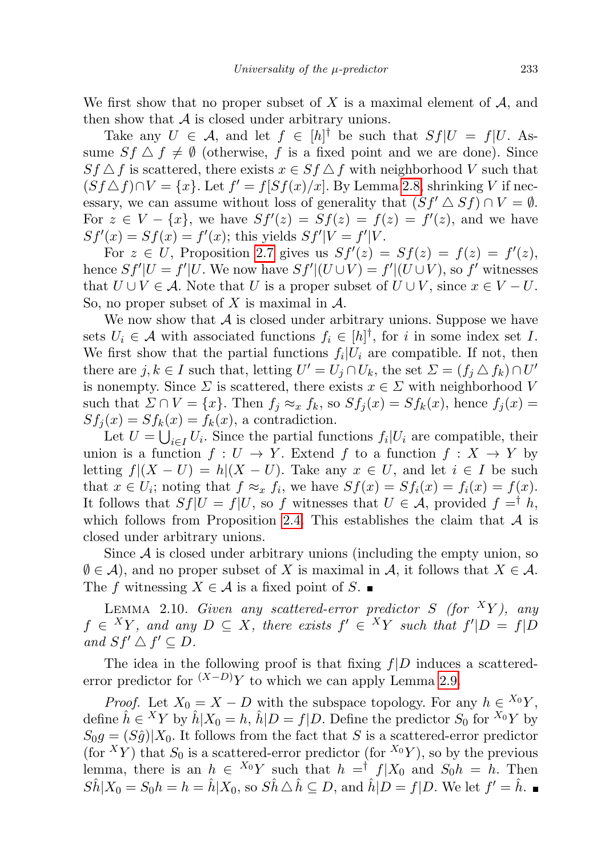We first show that no proper subset of X is a maximal element of  $A$ , and then show that  $A$  is closed under arbitrary unions.

Take any  $U \in \mathcal{A}$ , and let  $f \in [h]^{\dagger}$  be such that  $Sf|U = f|U$ . Assume  $Sf \triangle f \neq \emptyset$  (otherwise, f is a fixed point and we are done). Since  $Sf \triangle f$  is scattered, there exists  $x \in Sf \triangle f$  with neighborhood V such that  $(Sf \triangle f) \cap V = \{x\}$ . Let  $f' = f[Sf(x)/x]$ . By Lemma [2.8,](#page-5-1) shrinking V if necessary, we can assume without loss of generality that  $(Sf' \triangle Sf) \cap V = \emptyset$ . For  $z \in V - \{x\}$ , we have  $Sf'(z) = Sf(z) = f(z) = f'(z)$ , and we have  $Sf'(x) = Sf(x) = f'(x)$ ; this yields  $Sf'|V = f'|V$ .

For  $z \in U$ , Proposition [2.7](#page-5-2) gives us  $Sf'(z) = Sf(z) = f(z) = f'(z)$ , hence  $Sf'|U = f'|U$ . We now have  $Sf'|(U \cup V) = f'|(U \cup V)$ , so f' witnesses that  $U \cup V \in \mathcal{A}$ . Note that U is a proper subset of  $U \cup V$ , since  $x \in V - U$ . So, no proper subset of X is maximal in  $\mathcal{A}$ .

We now show that  $A$  is closed under arbitrary unions. Suppose we have sets  $U_i \in \mathcal{A}$  with associated functions  $f_i \in [h]^{\dagger}$ , for i in some index set I. We first show that the partial functions  $f_i|U_i$  are compatible. If not, then there are  $j, k \in I$  such that, letting  $U' = U_j \cap U_k$ , the set  $\Sigma = (f_j \triangle f_k) \cap U'$ is nonempty. Since  $\Sigma$  is scattered, there exists  $x \in \Sigma$  with neighborhood V such that  $\Sigma \cap V = \{x\}$ . Then  $f_i \approx_x f_k$ , so  $Sf_i(x) = Sf_k(x)$ , hence  $f_i(x) =$  $Sf_i(x) = Sf_k(x) = f_k(x)$ , a contradiction.

Let  $U = \bigcup_{i \in I} U_i$ . Since the partial functions  $f_i | U_i$  are compatible, their union is a function  $f: U \to Y$ . Extend f to a function  $f: X \to Y$  by letting  $f|(X-U) = h|(X-U)$ . Take any  $x \in U$ , and let  $i \in I$  be such that  $x \in U_i$ ; noting that  $f \approx_x f_i$ , we have  $Sf(x) = Sf_i(x) = f_i(x) = f(x)$ . It follows that  $Sf|U = f|U$ , so f witnesses that  $U \in \mathcal{A}$ , provided  $f = \dagger h$ , which follows from Proposition [2.4.](#page-4-2) This establishes the claim that  $A$  is closed under arbitrary unions.

Since  $A$  is closed under arbitrary unions (including the empty union, so  $\emptyset \in \mathcal{A}$ , and no proper subset of X is maximal in  $\mathcal{A}$ , it follows that  $X \in \mathcal{A}$ . The f witnessing  $X \in \mathcal{A}$  is a fixed point of S.

<span id="page-6-0"></span>LEMMA 2.10. Given any scattered-error predictor S (for  ${}^X Y$ ), any  $f \in {}^X Y$ , and any  $D \subseteq X$ , there exists  $f' \in {}^X Y$  such that  $f'|D = f|D$ and  $Sf' \triangle f' \subseteq D$ .

The idea in the following proof is that fixing  $f|D$  induces a scatterederror predictor for  $(X-D)Y$  to which we can apply Lemma [2.9.](#page-5-3)

*Proof.* Let  $X_0 = X - D$  with the subspace topology. For any  $h \in {}^{X_0}Y$ , define  $\hat{h} \in {}^X Y$  by  $\hat{h} | X_0 = h$ ,  $\hat{h} | D = f | D$ . Define the predictor  $S_0$  for  ${}^{X_0} Y$  by  $S_0 g = (S_0^{\circ})|X_0$ . It follows from the fact that S is a scattered-error predictor (for <sup>X</sup>Y) that  $S_0$  is a scattered-error predictor (for <sup>X<sub>0</sub>Y</sup>), so by the previous lemma, there is an  $h \in {}^{X_0}Y$  such that  $h = {}^{\dagger} f|X_0$  and  $S_0h = h$ . Then  $S\hat{h}|X_0 = S_0h = h = \hat{h}|X_0$ , so  $S\hat{h} \triangle \hat{h} \subseteq D$ , and  $\hat{h}|D = f|D$ . We let  $f' = \hat{h}$ .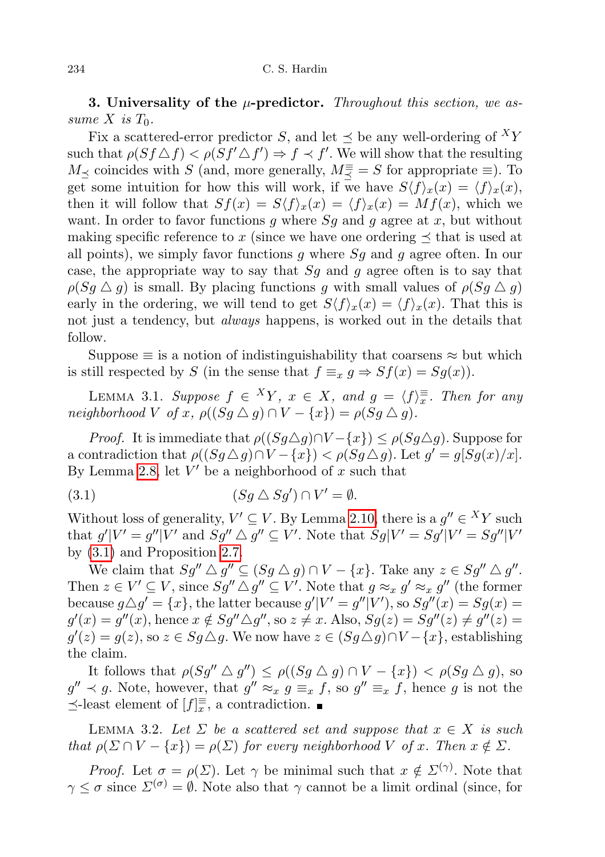<span id="page-7-0"></span>**3.** Universality of the  $\mu$ -predictor. Throughout this section, we assume X is  $T_0$ .

Fix a scattered-error predictor S, and let  $\prec$  be any well-ordering of  ${}^X Y$ such that  $\rho(Sf \triangle f) < \rho(Sf' \triangle f') \Rightarrow f \prec f'$ . We will show that the resulting  $M_{\preceq}$  coincides with S (and, more generally,  $M_{\preceq}^{\equiv} = S$  for appropriate  $\equiv$ ). To get some intuition for how this will work, if we have  $S\langle f \rangle_x(x) = \langle f \rangle_x(x)$ , then it will follow that  $Sf(x) = S\langle f \rangle_x(x) = \langle f \rangle_x(x) = Mf(x)$ , which we want. In order to favor functions g where  $Sg$  and g agree at x, but without making specific reference to x (since we have one ordering  $\preceq$  that is used at all points), we simply favor functions g where  $S_g$  and g agree often. In our case, the appropriate way to say that  $S_g$  and g agree often is to say that  $\rho(Sq \triangle q)$  is small. By placing functions g with small values of  $\rho(Sq \triangle q)$ early in the ordering, we will tend to get  $S\langle f \rangle_x(x) = \langle f \rangle_x(x)$ . That this is not just a tendency, but *always* happens, is worked out in the details that follow.

Suppose  $\equiv$  is a notion of indistinguishability that coarsens  $\approx$  but which is still respected by S (in the sense that  $f \equiv_x g \Rightarrow Sf(x) = Sg(x)$ ).

<span id="page-7-2"></span>LEMMA 3.1. Suppose  $f \in {}^X Y$ ,  $x \in X$ , and  $g = \langle f \rangle_{x}^{\equiv}$ . Then for any neighborhood V of x,  $\rho((Sg \triangle g) \cap V - \{x\}) = \rho(Sg \triangle g)$ .

*Proof.* It is immediate that  $\rho((Sq \triangle q) \cap V - \{x\}) \leq \rho(Sq \triangle q)$ . Suppose for a contradiction that  $\rho((Sg \triangle g) \cap V - \{x\}) < \rho(Sg \triangle g)$ . Let  $g' = g[Sg(x)/x]$ . By Lemma [2.8,](#page-5-1) let  $V'$  be a neighborhood of x such that

<span id="page-7-1"></span>(3.1) 
$$
(Sg \triangle Sg') \cap V' = \emptyset.
$$

Without loss of generality,  $V' \subseteq V$ . By Lemma [2.10,](#page-6-0) there is a  $g'' \in {}^X Y$  such that  $g'|V' = g''|V'$  and  $Sg'' \triangle g'' \subseteq V'$ . Note that  $Sg|V' = Sg'|V' = Sg''|V'$ by [\(3.1\)](#page-7-1) and Proposition [2.7.](#page-5-2)

We claim that  $Sg'' \triangle g'' \subseteq (Sg \triangle g) \cap V - \{x\}$ . Take any  $z \in Sg'' \triangle g''$ . Then  $z \in V' \subseteq V$ , since  $Sg'' \triangle g'' \subseteq V'$ . Note that  $g \approx_x g' \approx_x g''$  (the former because  $g \triangle g' = \{x\}$ , the latter because  $g'|V' = g''|V'$ , so  $Sg''(x) = Sg(x) =$  $g'(x) = g''(x)$ , hence  $x \notin Sg'' \triangle g''$ , so  $z \neq x$ . Also,  $Sg(z) = Sg''(z) \neq g''(z) =$  $g'(z) = g(z)$ , so  $z \in Sg \triangle g$ . We now have  $z \in (Sg \triangle g) \cap V - \{x\}$ , establishing the claim.

It follows that  $\rho(Sg'' \triangle g'') \leq \rho((Sg \triangle g) \cap V - \{x\}) < \rho(Sg \triangle g)$ , so  $g'' \prec g$ . Note, however, that  $g'' \approx_x g \equiv_x f$ , so  $g'' \equiv_x f$ , hence g is not the  $\preceq$ -least element of  $[f]_x^{\equiv}$ , a contradiction.

<span id="page-7-3"></span>LEMMA 3.2. Let  $\Sigma$  be a scattered set and suppose that  $x \in X$  is such that  $\rho(\Sigma \cap V - \{x\}) = \rho(\Sigma)$  for every neighborhood V of x. Then  $x \notin \Sigma$ .

*Proof.* Let  $\sigma = \rho(\Sigma)$ . Let  $\gamma$  be minimal such that  $x \notin \Sigma^{(\gamma)}$ . Note that  $\gamma \leq \sigma$  since  $\Sigma^{(\sigma)} = \emptyset$ . Note also that  $\gamma$  cannot be a limit ordinal (since, for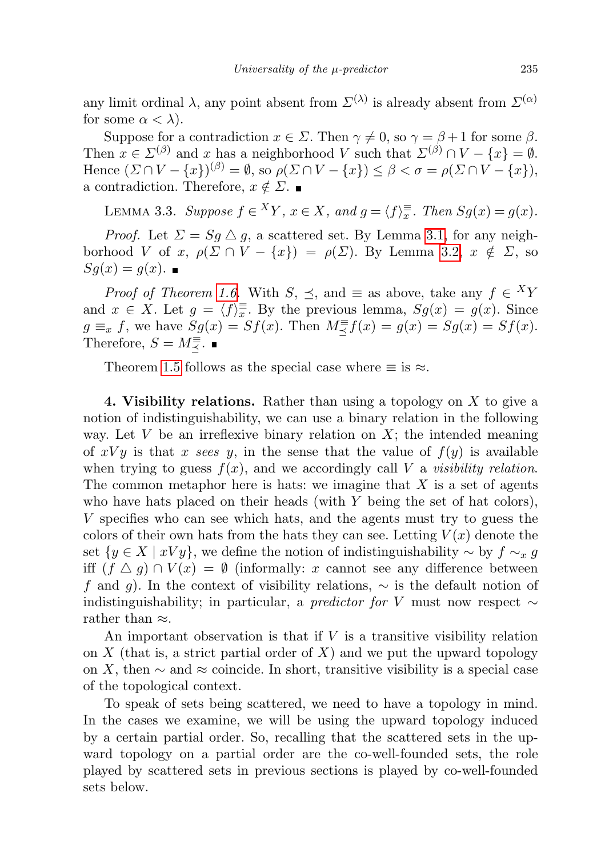any limit ordinal  $\lambda$ , any point absent from  $\Sigma^{(\lambda)}$  is already absent from  $\Sigma^{(\alpha)}$ for some  $\alpha < \lambda$ ).

Suppose for a contradiction  $x \in \Sigma$ . Then  $\gamma \neq 0$ , so  $\gamma = \beta + 1$  for some  $\beta$ . Then  $x \in \Sigma^{(\beta)}$  and x has a neighborhood V such that  $\Sigma^{(\beta)} \cap V - \{x\} = \emptyset$ . Hence  $(\Sigma \cap V - \{x\})^{(\beta)} = \emptyset$ , so  $\rho(\Sigma \cap V - \{x\}) \leq \beta < \sigma = \rho(\Sigma \cap V - \{x\})$ , a contradiction. Therefore,  $x \notin \Sigma$ .

<span id="page-8-1"></span>LEMMA 3.3. Suppose  $f \in {}^X Y$ ,  $x \in X$ , and  $g = \langle f \rangle \overline{\overline{x}}$ . Then  $Sg(x) = g(x)$ .

*Proof.* Let  $\Sigma = Sg \triangle g$ , a scattered set. By Lemma [3.1,](#page-7-2) for any neighborhood V of x,  $\rho(\Sigma \cap V - \{x\}) = \rho(\Sigma)$ . By Lemma [3.2,](#page-7-3)  $x \notin \Sigma$ , so  $Sg(x) = g(x)$ .

*Proof of Theorem [1.6.](#page-2-3)* With  $S$ ,  $\preceq$ , and  $\equiv$  as above, take any  $f \in {}^X Y$ and  $x \in X$ . Let  $g = \langle f \rangle_x = \mathbb{E}$ . By the previous lemma,  $Sg(x) = g(x)$ . Since  $g \equiv_x f$ , we have  $Sg(x) = Sf(x)$ . Then  $M \equiv_{\preceq} f(x) = g(x) = Sg(x) = Sf(x)$ . Therefore,  $S = M \frac{1}{2}$ .

Theorem [1.5](#page-2-1) follows as the special case where  $\equiv$  is  $\approx$ .

<span id="page-8-0"></span>4. Visibility relations. Rather than using a topology on  $X$  to give a notion of indistinguishability, we can use a binary relation in the following way. Let  $V$  be an irreflexive binary relation on  $X$ ; the intended meaning of  $xVy$  is that x sees y, in the sense that the value of  $f(y)$  is available when trying to guess  $f(x)$ , and we accordingly call V a visibility relation. The common metaphor here is hats: we imagine that  $X$  is a set of agents who have hats placed on their heads (with  $Y$  being the set of hat colors), V specifies who can see which hats, and the agents must try to guess the colors of their own hats from the hats they can see. Letting  $V(x)$  denote the set  $\{y \in X \mid xVy\}$ , we define the notion of indistinguishability  $\sim$  by  $f \sim_x g$ iff  $(f \triangle g) \cap V(x) = \emptyset$  (informally: x cannot see any difference between f and g). In the context of visibility relations,  $\sim$  is the default notion of indistinguishability; in particular, a *predictor for V* must now respect  $\sim$ rather than ≈.

An important observation is that if  $V$  is a transitive visibility relation on  $X$  (that is, a strict partial order of  $X$ ) and we put the upward topology on X, then  $\sim$  and  $\approx$  coincide. In short, transitive visibility is a special case of the topological context.

To speak of sets being scattered, we need to have a topology in mind. In the cases we examine, we will be using the upward topology induced by a certain partial order. So, recalling that the scattered sets in the upward topology on a partial order are the co-well-founded sets, the role played by scattered sets in previous sections is played by co-well-founded sets below.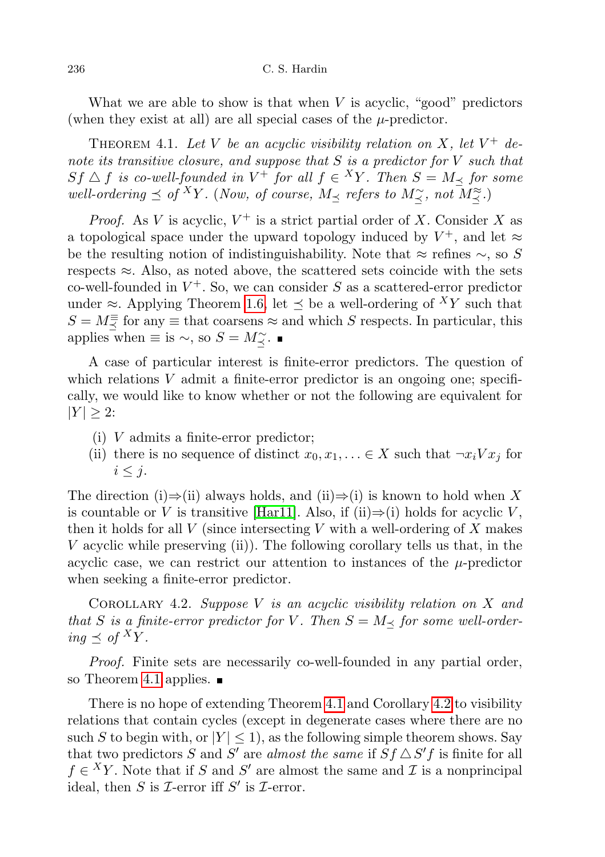#### 236 C. S. Hardin

What we are able to show is that when  $V$  is acyclic, "good" predictors (when they exist at all) are all special cases of the  $\mu$ -predictor.

<span id="page-9-0"></span>THEOREM 4.1. Let V be an acyclic visibility relation on X, let  $V^+$  denote its transitive closure, and suppose that  $S$  is a predictor for  $V$  such that  $Sf \triangle f$  is co-well-founded in  $V^+$  for all  $f \in {}^XY$ . Then  $S = M_{\preceq}$  for some well-ordering  $\preceq$  of <sup>X</sup>Y. (Now, of course, M<sub> $\preceq$ </sub> refers to M<sub> $\preceq$ </sub>, not M<sub> $\preceq$ </sub>.)

*Proof.* As V is acyclic,  $V^+$  is a strict partial order of X. Consider X as a topological space under the upward topology induced by  $V^+$ , and let  $\approx$ be the resulting notion of indistinguishability. Note that  $\approx$  refines  $\sim$ , so S respects  $\approx$ . Also, as noted above, the scattered sets coincide with the sets co-well-founded in  $V^+$ . So, we can consider S as a scattered-error predictor under ≈. Applying Theorem [1.6,](#page-2-3) let  $\preceq$  be a well-ordering of  $^{X}Y$  such that  $S = M_{\preceq}^{\equiv}$  for any  $\equiv$  that coarsens  $\approx$  and which S respects. In particular, this applies when  $\equiv$  is  $\sim$ , so  $S = M_{\preceq}^{\sim}$ .

A case of particular interest is finite-error predictors. The question of which relations  $V$  admit a finite-error predictor is an ongoing one; specifically, we would like to know whether or not the following are equivalent for  $|Y| \geq 2$ :

- (i) V admits a finite-error predictor;
- (ii) there is no sequence of distinct  $x_0, x_1, \ldots \in X$  such that  $\neg x_i V x_i$  for  $i \leq j$ .

The direction (i)⇒(ii) always holds, and (ii)⇒(i) is known to hold when X is countable or V is transitive [\[Har11\]](#page-13-3). Also, if (ii) $\Rightarrow$ (i) holds for acyclic V, then it holds for all  $V$  (since intersecting  $V$  with a well-ordering of  $X$  makes V acyclic while preserving (ii)). The following corollary tells us that, in the acyclic case, we can restrict our attention to instances of the  $\mu$ -predictor when seeking a finite-error predictor.

<span id="page-9-1"></span>COROLLARY 4.2. Suppose V is an acyclic visibility relation on X and that S is a finite-error predictor for V. Then  $S = M_{\preceq}$  for some well-ordering  $\prec$  of <sup>X</sup>Y.

Proof. Finite sets are necessarily co-well-founded in any partial order, so Theorem [4.1](#page-9-0) applies.  $\blacksquare$ 

<span id="page-9-2"></span>There is no hope of extending Theorem [4.1](#page-9-0) and Corollary [4.2](#page-9-1) to visibility relations that contain cycles (except in degenerate cases where there are no such S to begin with, or  $|Y| \leq 1$ , as the following simple theorem shows. Say that two predictors S and S' are almost the same if  $Sf \triangle S'f$  is finite for all  $f \in {}^X Y$ . Note that if S and S' are almost the same and I is a nonprincipal ideal, then S is  $\mathcal I$ -error iff S' is  $\mathcal I$ -error.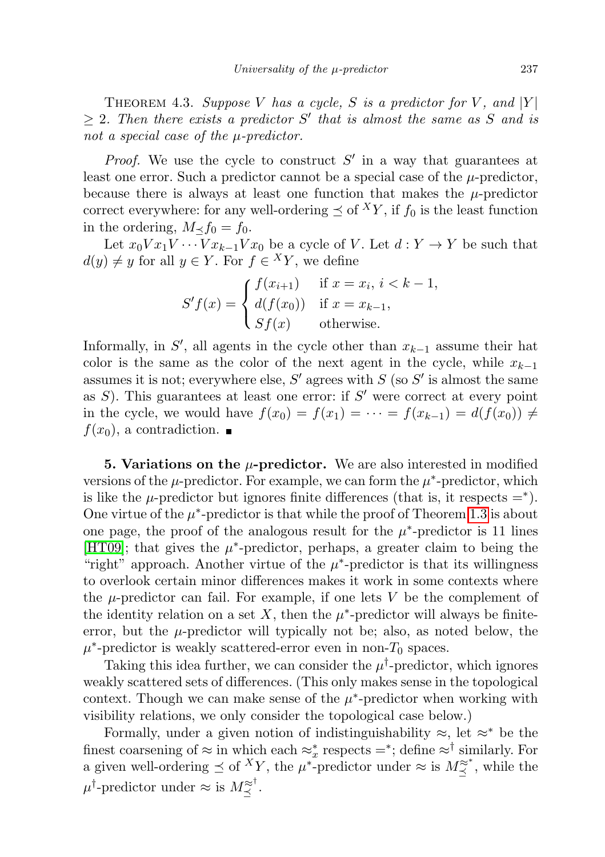THEOREM 4.3. Suppose V has a cycle, S is a predictor for V, and  $|Y|$  $\geq 2$ . Then there exists a predictor S' that is almost the same as S and is not a special case of the  $\mu$ -predictor.

*Proof.* We use the cycle to construct  $S'$  in a way that guarantees at least one error. Such a predictor cannot be a special case of the  $\mu$ -predictor, because there is always at least one function that makes the  $\mu$ -predictor correct everywhere: for any well-ordering  $\preceq$  of  $^XY$ , if  $f_0$  is the least function in the ordering,  $M \lt f_0 = f_0$ .

Let  $x_0 V x_1 V \cdots V x_{k-1} V x_0$  be a cycle of V. Let  $d: Y \to Y$  be such that  $d(y) \neq y$  for all  $y \in Y$ . For  $f \in {}^X Y$ , we define

$$
S'f(x) = \begin{cases} f(x_{i+1}) & \text{if } x = x_i, i < k - 1, \\ d(f(x_0)) & \text{if } x = x_{k-1}, \\ Sf(x) & \text{otherwise.} \end{cases}
$$

Informally, in  $S'$ , all agents in the cycle other than  $x_{k-1}$  assume their hat color is the same as the color of the next agent in the cycle, while  $x_{k-1}$ assumes it is not; everywhere else,  $S'$  agrees with  $S$  (so  $S'$  is almost the same as  $S$ ). This guarantees at least one error: if  $S'$  were correct at every point in the cycle, we would have  $f(x_0) = f(x_1) = \cdots = f(x_{k-1}) = d(f(x_0)) \neq$  $f(x_0)$ , a contradiction.

<span id="page-10-0"></span>**5. Variations on the**  $\mu$ **-predictor.** We are also interested in modified versions of the  $\mu$ -predictor. For example, we can form the  $\mu^*$ -predictor, which is like the  $\mu$ -predictor but ignores finite differences (that is, it respects =<sup>\*</sup>). One virtue of the  $\mu^*$ -predictor is that while the proof of Theorem [1.3](#page-2-0) is about one page, the proof of the analogous result for the  $\mu^*$ -predictor is 11 lines [\[HT09\]](#page-13-0); that gives the  $\mu^*$ -predictor, perhaps, a greater claim to being the "right" approach. Another virtue of the  $\mu^*$ -predictor is that its willingness to overlook certain minor differences makes it work in some contexts where the  $\mu$ -predictor can fail. For example, if one lets V be the complement of the identity relation on a set X, then the  $\mu^*$ -predictor will always be finiteerror, but the  $\mu$ -predictor will typically not be; also, as noted below, the  $\mu^*$ -predictor is weakly scattered-error even in non- $T_0$  spaces.

Taking this idea further, we can consider the  $\mu^{\dagger}$ -predictor, which ignores weakly scattered sets of differences. (This only makes sense in the topological context. Though we can make sense of the  $\mu^*$ -predictor when working with visibility relations, we only consider the topological case below.)

Formally, under a given notion of indistinguishability  $\approx$ , let  $\approx^*$  be the finest coarsening of  $\approx$  in which each  $\approx_x^*$  respects =<sup>\*</sup>; define  $\approx$ <sup>†</sup> similarly. For a given well-ordering  $\preceq$  of  $^XY$ , the  $\mu^*$ -predictor under  $\approx$  is  $M^{\approx*}_{\preceq}$ , while the  $\mu^{\dagger}$ -predictor under  $\approx$  is  $M_{\preceq}^{\approx^{\dagger}}$ .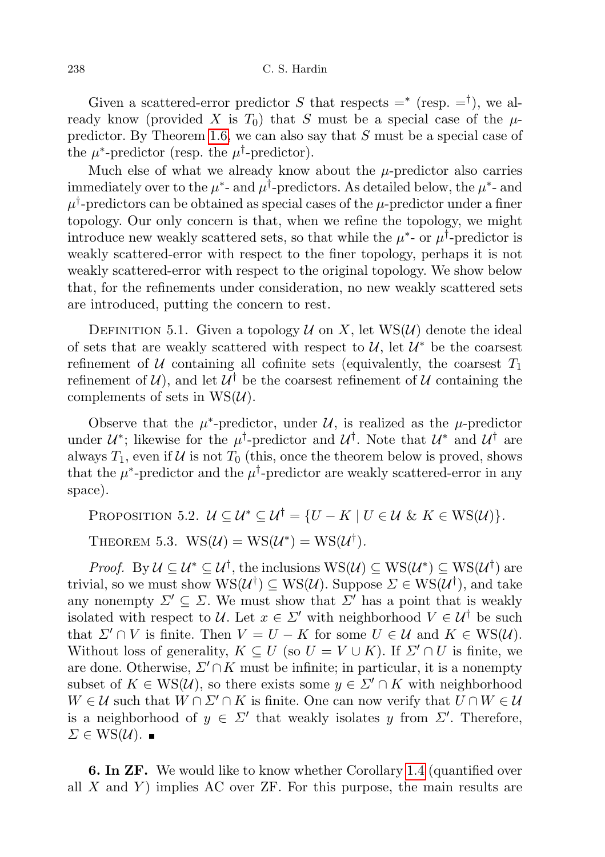Given a scattered-error predictor S that respects  $=^*$  (resp.  $=^{\dagger}$ ), we already know (provided X is  $T_0$ ) that S must be a special case of the  $\mu$ predictor. By Theorem [1.6,](#page-2-3) we can also say that S must be a special case of the  $\mu^*$ -predictor (resp. the  $\mu^{\dagger}$ -predictor).

Much else of what we already know about the  $\mu$ -predictor also carries immediately over to the  $\mu^*$ - and  $\mu^{\dagger}$ -predictors. As detailed below, the  $\mu^*$ - and  $\mu^\dagger\text{-predictors can be obtained as special cases of the }\mu\text{-predictor under a finer}$ topology. Our only concern is that, when we refine the topology, we might introduce new weakly scattered sets, so that while the  $\mu^*$ - or  $\mu^{\dagger}$ -predictor is weakly scattered-error with respect to the finer topology, perhaps it is not weakly scattered-error with respect to the original topology. We show below that, for the refinements under consideration, no new weakly scattered sets are introduced, putting the concern to rest.

DEFINITION 5.1. Given a topology  $\mathcal U$  on X, let WS( $\mathcal U$ ) denote the ideal of sets that are weakly scattered with respect to  $\mathcal{U}$ , let  $\mathcal{U}^*$  be the coarsest refinement of U containing all cofinite sets (equivalently, the coarsest  $T_1$ refinement of  $\mathcal{U}$ ), and let  $\mathcal{U}^{\dagger}$  be the coarsest refinement of  $\mathcal{U}$  containing the complements of sets in  $WS(\mathcal{U})$ .

Observe that the  $\mu^*$ -predictor, under U, is realized as the  $\mu$ -predictor under  $\mathcal{U}^*$ ; likewise for the  $\mu^{\dagger}$ -predictor and  $\mathcal{U}^{\dagger}$ . Note that  $\mathcal{U}^*$  and  $\mathcal{U}^{\dagger}$  are always  $T_1$ , even if  $U$  is not  $T_0$  (this, once the theorem below is proved, shows that the  $\mu^*$ -predictor and the  $\mu^{\dagger}$ -predictor are weakly scattered-error in any space).

PROPOSITION 5.2.  $U \subset U^* \subset U^{\dagger} = \{U - K \mid U \in \mathcal{U} \& K \in \text{WS}(\mathcal{U})\}.$ 

THEOREM 5.3.  $WS(\mathcal{U}) = WS(\mathcal{U}^*) = WS(\mathcal{U}^{\dagger}).$ 

*Proof.* By  $\mathcal{U} \subseteq \mathcal{U}^* \subseteq \mathcal{U}^{\dagger}$ , the inclusions  $WS(\mathcal{U}) \subseteq WS(\mathcal{U}^*) \subseteq WS(\mathcal{U}^{\dagger})$  are trivial, so we must show  $WS(\mathcal{U}^{\dagger}) \subseteq WS(\mathcal{U})$ . Suppose  $\Sigma \in WS(\mathcal{U}^{\dagger})$ , and take any nonempty  $\Sigma' \subseteq \Sigma$ . We must show that  $\Sigma'$  has a point that is weakly isolated with respect to U. Let  $x \in \Sigma'$  with neighborhood  $V \in \mathcal{U}^{\dagger}$  be such that  $\Sigma' \cap V$  is finite. Then  $V = U - K$  for some  $U \in \mathcal{U}$  and  $K \in \text{WS}(\mathcal{U})$ . Without loss of generality,  $K \subseteq U$  (so  $U = V \cup K$ ). If  $\Sigma' \cap U$  is finite, we are done. Otherwise,  $\Sigma' \cap K$  must be infinite; in particular, it is a nonempty subset of  $K \in \text{WS}(\mathcal{U})$ , so there exists some  $y \in \Sigma' \cap K$  with neighborhood  $W \in \mathcal{U}$  such that  $W \cap \Sigma' \cap K$  is finite. One can now verify that  $U \cap W \in \mathcal{U}$ is a neighborhood of  $y \in \Sigma'$  that weakly isolates y from  $\Sigma'$ . Therefore,  $\Sigma \in \text{WS}(\mathcal{U})$ .

<span id="page-11-0"></span>**6. In ZF.** We would like to know whether Corollary [1.4](#page-2-2) (quantified over all  $X$  and  $Y$ ) implies AC over ZF. For this purpose, the main results are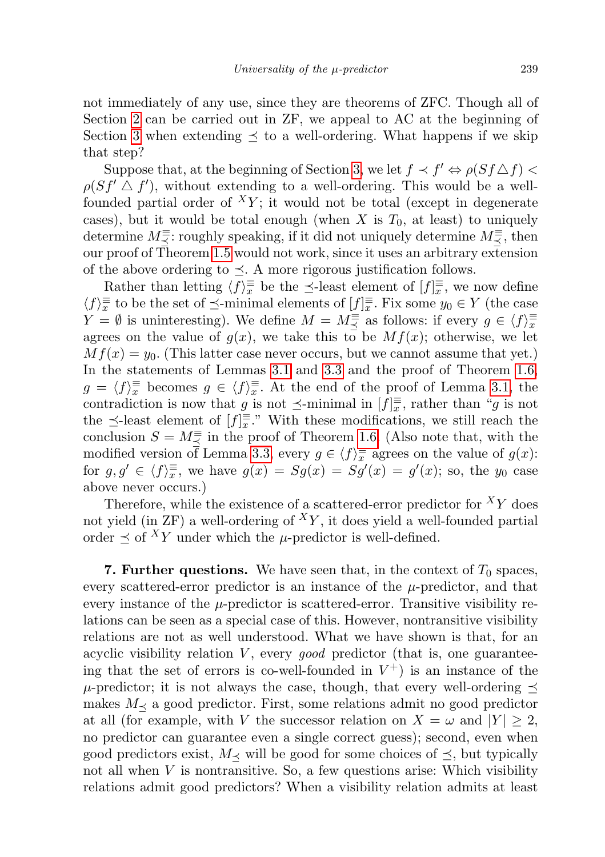not immediately of any use, since they are theorems of ZFC. Though all of Section [2](#page-4-0) can be carried out in ZF, we appeal to AC at the beginning of Section [3](#page-7-0) when extending  $\preceq$  to a well-ordering. What happens if we skip that step?

Suppose that, at the beginning of Section [3,](#page-7-0) we let  $f \prec f' \Leftrightarrow \rho(Sf \triangle f)$  $\rho(Sf' \triangle f')$ , without extending to a well-ordering. This would be a wellfounded partial order of  ${}^{X}Y$ ; it would not be total (except in degenerate cases), but it would be total enough (when X is  $T_0$ , at least) to uniquely determine  $M \equiv \leq$ : roughly speaking, if it did not uniquely determine  $M \equiv \leq$ , then our proof of Theorem [1.5](#page-2-1) would not work, since it uses an arbitrary extension of the above ordering to  $\preceq$ . A more rigorous justification follows.

Rather than letting  $\langle f \rangle_{x}^{\equiv}$  be the  $\preceq$ -least element of  $[f]_{x}^{\equiv}$ , we now define  $\langle f \rangle_{\overline{x}}^{\equiv}$  to be the set of  $\preceq$ -minimal elements of  $[f]_{\overline{x}}^{\equiv}$ . Fix some  $y_0 \in Y$  (the case  $Y = \emptyset$  is uninteresting). We define  $M = M \equiv \text{as follows: if every } g \in \langle f \rangle_{\overline{x}}^{\equiv}$ agrees on the value of  $g(x)$ , we take this to be  $Mf(x)$ ; otherwise, we let  $Mf(x) = y_0$ . (This latter case never occurs, but we cannot assume that yet.) In the statements of Lemmas [3.1](#page-7-2) and [3.3](#page-8-1) and the proof of Theorem [1.6,](#page-2-3)  $g = \langle f \rangle_{x}^{\equiv}$  becomes  $g \in \langle f \rangle_{x}^{\equiv}$ . At the end of the proof of Lemma [3.1,](#page-7-2) the contradiction is now that g is not  $\preceq$ -minimal in  $[f]_x^{\equiv}$ , rather than "g is not the  $\preceq$ -least element of  $[f]_x^{\equiv}$ ." With these modifications, we still reach the conclusion  $S = M_{\preceq} \equiv$  in the proof of Theorem [1.6.](#page-2-3) (Also note that, with the modified version of Lemma [3.3,](#page-8-1) every  $g \in \langle f \rangle_{x}^{\equiv}$  agrees on the value of  $g(x)$ : for  $g, g' \in \langle f \rangle_{\overline{x}}^{\equiv}$ , we have  $g(x) = Sg(x) = Sg'(x) = g'(x)$ ; so, the  $y_0$  case above never occurs.)

Therefore, while the existence of a scattered-error predictor for  $XY$  does not yield (in  $ZF$ ) a well-ordering of  $^{X}Y$ , it does yield a well-founded partial order  $\prec$  of  $^XY$  under which the  $\mu$ -predictor is well-defined.

<span id="page-12-0"></span>7. Further questions. We have seen that, in the context of  $T_0$  spaces, every scattered-error predictor is an instance of the  $\mu$ -predictor, and that every instance of the  $\mu$ -predictor is scattered-error. Transitive visibility relations can be seen as a special case of this. However, nontransitive visibility relations are not as well understood. What we have shown is that, for an acyclic visibility relation  $V$ , every good predictor (that is, one guaranteeing that the set of errors is co-well-founded in  $V^+$ ) is an instance of the  $\mu$ -predictor; it is not always the case, though, that every well-ordering  $\preceq$ makes  $M_{\preceq}$  a good predictor. First, some relations admit no good predictor at all (for example, with V the successor relation on  $X = \omega$  and  $|Y| \geq 2$ , no predictor can guarantee even a single correct guess); second, even when good predictors exist,  $M_{\prec}$  will be good for some choices of  $\preceq$ , but typically not all when  $V$  is nontransitive. So, a few questions arise: Which visibility relations admit good predictors? When a visibility relation admits at least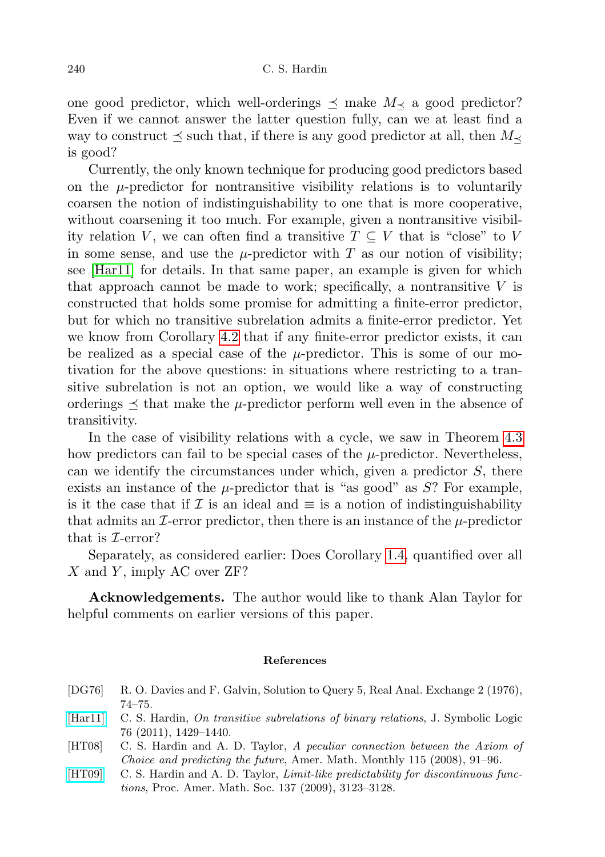one good predictor, which well-orderings  $\preceq$  make  $M_{\preceq}$  a good predictor? Even if we cannot answer the latter question fully, can we at least find a way to construct  $\preceq$  such that, if there is any good predictor at all, then  $M_{\preceq}$ is good?

Currently, the only known technique for producing good predictors based on the  $\mu$ -predictor for nontransitive visibility relations is to voluntarily coarsen the notion of indistinguishability to one that is more cooperative, without coarsening it too much. For example, given a nontransitive visibility relation V, we can often find a transitive  $T \subseteq V$  that is "close" to V in some sense, and use the  $\mu$ -predictor with T as our notion of visibility; see [\[Har11\]](#page-13-3) for details. In that same paper, an example is given for which that approach cannot be made to work; specifically, a nontransitive  $V$  is constructed that holds some promise for admitting a finite-error predictor, but for which no transitive subrelation admits a finite-error predictor. Yet we know from Corollary [4.2](#page-9-1) that if any finite-error predictor exists, it can be realized as a special case of the  $\mu$ -predictor. This is some of our motivation for the above questions: in situations where restricting to a transitive subrelation is not an option, we would like a way of constructing orderings  $\preceq$  that make the  $\mu$ -predictor perform well even in the absence of transitivity.

In the case of visibility relations with a cycle, we saw in Theorem [4.3](#page-9-2) how predictors can fail to be special cases of the  $\mu$ -predictor. Nevertheless, can we identify the circumstances under which, given a predictor  $S$ , there exists an instance of the  $\mu$ -predictor that is "as good" as S? For example, is it the case that if  $\mathcal I$  is an ideal and  $\equiv$  is a notion of indistinguishability that admits an  $\mathcal{I}$ -error predictor, then there is an instance of the  $\mu$ -predictor that is  $\mathcal{I}$ -error?

Separately, as considered earlier: Does Corollary [1.4,](#page-2-2) quantified over all  $X$  and Y, imply AC over ZF?

Acknowledgements. The author would like to thank Alan Taylor for helpful comments on earlier versions of this paper.

#### References

- <span id="page-13-1"></span>[DG76] R. O. Davies and F. Galvin, Solution to Query 5, Real Anal. Exchange 2 (1976), 74–75.
- <span id="page-13-3"></span>[\[Har11\]](http://dx.doi.org/10.2178/jsl/1318338858) C. S. Hardin, On transitive subrelations of binary relations, J. Symbolic Logic 76 (2011), 1429–1440.
- <span id="page-13-2"></span>[HT08] C. S. Hardin and A. D. Taylor, A peculiar connection between the Axiom of Choice and predicting the future, Amer. Math. Monthly 115 (2008), 91–96.
- <span id="page-13-0"></span>[\[HT09\]](http://dx.doi.org/10.1090/S0002-9939-09-09877-3) C. S. Hardin and A. D. Taylor, Limit-like predictability for discontinuous functions, Proc. Amer. Math. Soc. 137 (2009), 3123–3128.